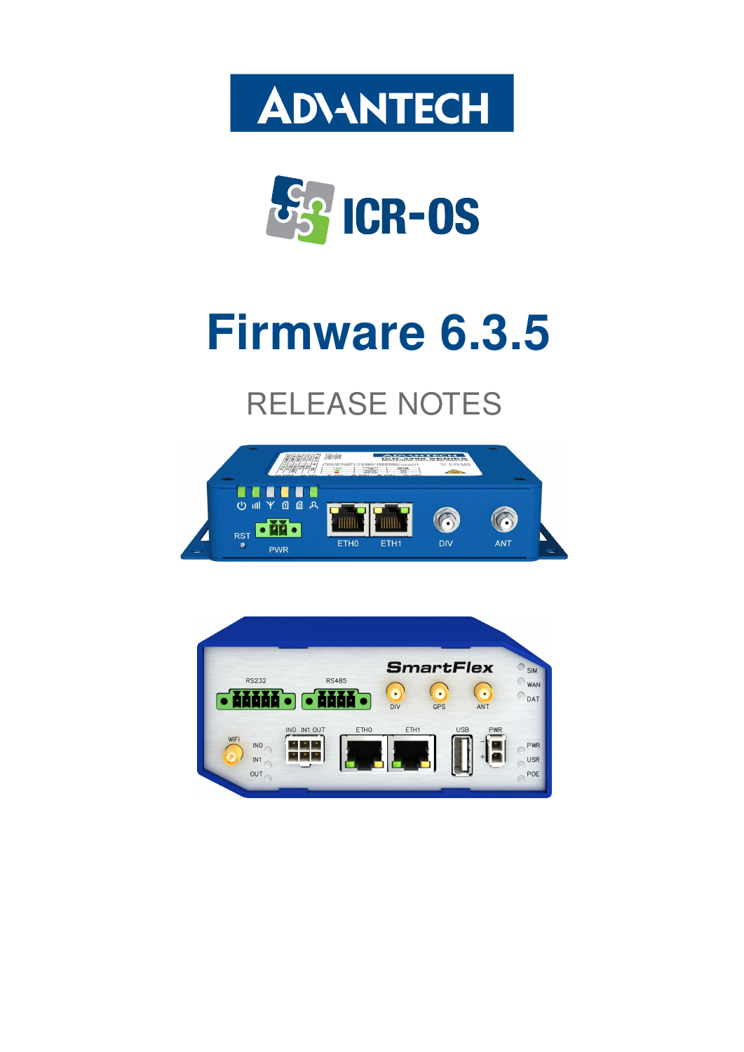



# Firmware 6.3.5

# RELEASE NOTES



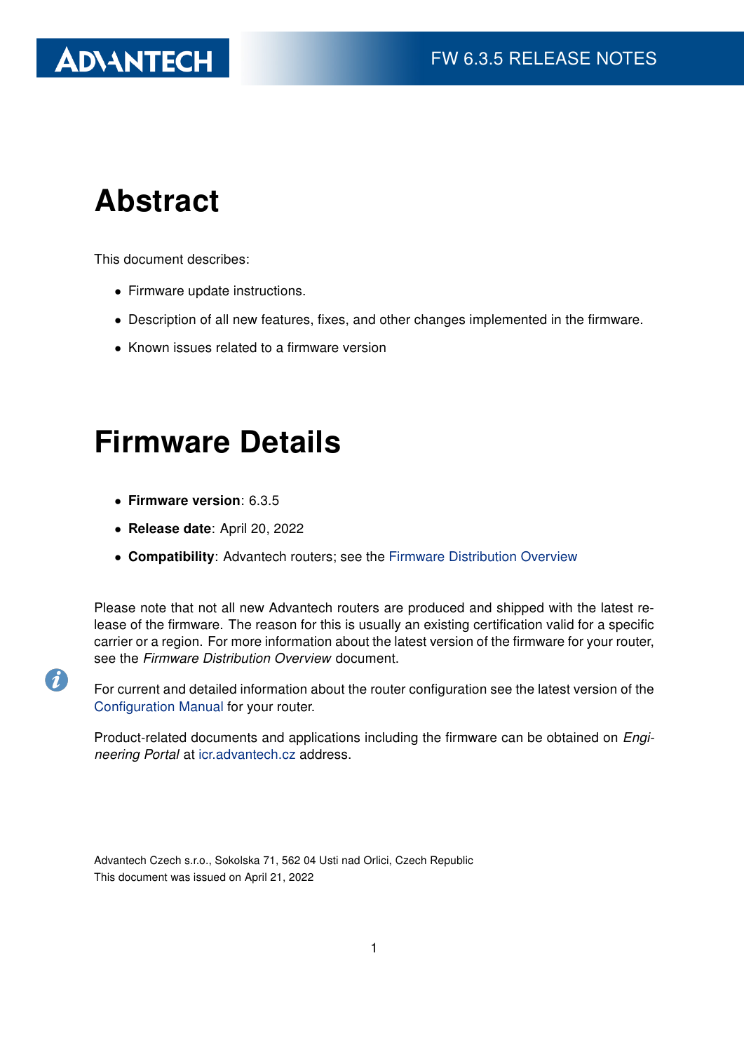# **ADVANTECH**

# Abstract

This document describes:

- Firmware update instructions.
- Description of all new features, fixes, and other changes implemented in the firmware.
- Known issues related to a firmware version

# Firmware Details

• Firmware version: 6.3.5

6

- Release date: April 20, 2022
- Compatibility: Advantech routers; see the [Firmware Distribution Overview](https://icr.advantech.cz/firmware)

Please note that not all new Advantech routers are produced and shipped with the latest release of the firmware. The reason for this is usually an existing certification valid for a specific carrier or a region. For more information about the latest version of the firmware for your router, see the Firmware Distribution Overview document.

For current and detailed information about the router configuration see the latest version of the [Configuration Manual](https://icr.advantech.cz/support/router-models) for your router.

Product-related documents and applications including the firmware can be obtained on *Engi*neering Portal at [icr.advantech.cz](https://icr.advantech.cz/) address.

Advantech Czech s.r.o., Sokolska 71, 562 04 Usti nad Orlici, Czech Republic This document was issued on April 21, 2022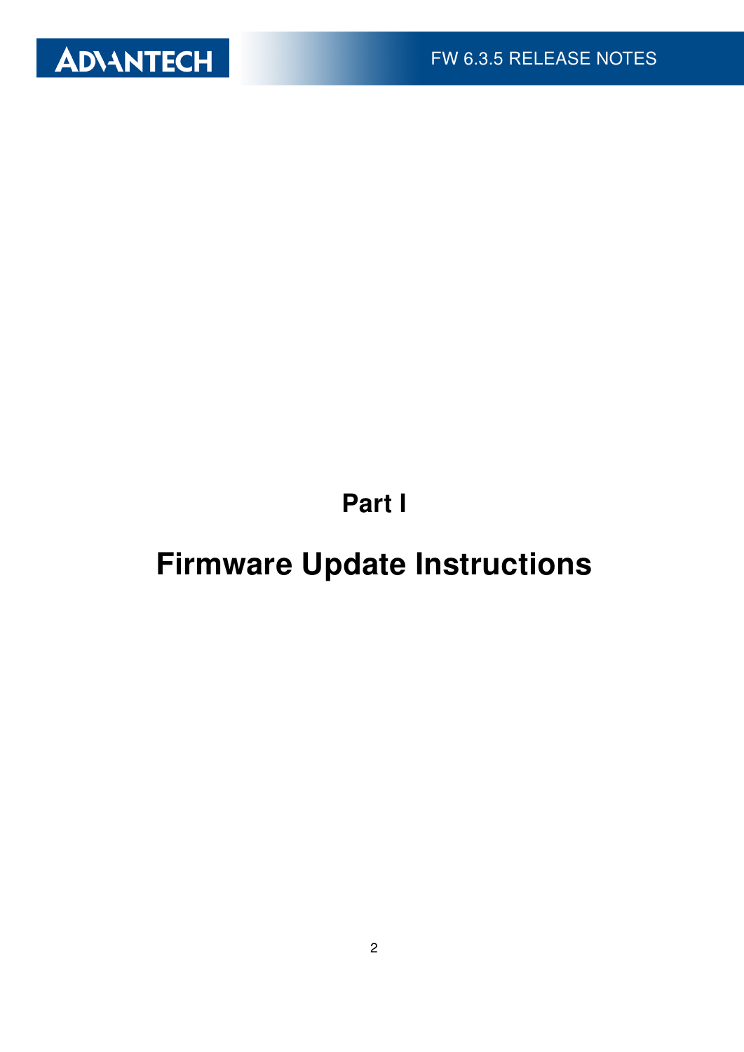

Part I

# <span id="page-2-0"></span>Firmware Update Instructions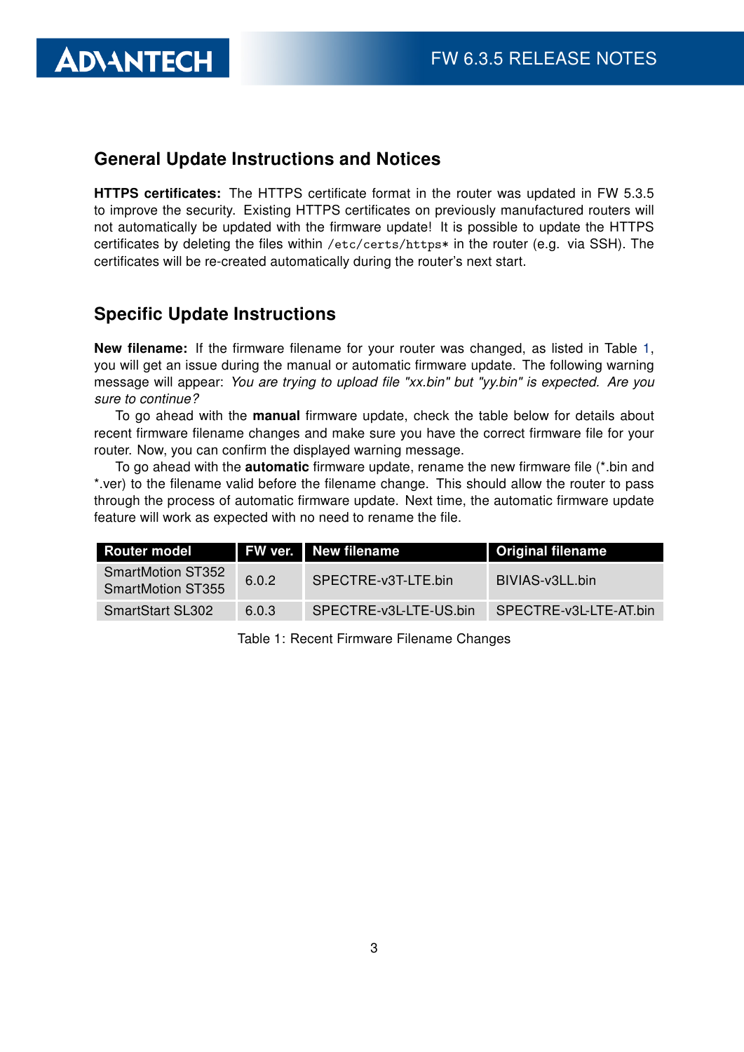#### General Update Instructions and Notices

HTTPS certificates: The HTTPS certificate format in the router was updated in FW 5.3.5 to improve the security. Existing HTTPS certificates on previously manufactured routers will not automatically be updated with the firmware update! It is possible to update the HTTPS certificates by deleting the files within /etc/certs/https\* in the router (e.g. via SSH). The certificates will be re-created automatically during the router's next start.

#### Specific Update Instructions

**ADVANTECH** 

New filename: If the firmware filename for your router was changed, as listed in Table [1,](#page-3-0) you will get an issue during the manual or automatic firmware update. The following warning message will appear: You are trying to upload file "xx.bin" but "yy.bin" is expected. Are you sure to continue?

To go ahead with the **manual** firmware update, check the table below for details about recent firmware filename changes and make sure you have the correct firmware file for your router. Now, you can confirm the displayed warning message.

To go ahead with the **automatic** firmware update, rename the new firmware file (\*.bin and \*.ver) to the filename valid before the filename change. This should allow the router to pass through the process of automatic firmware update. Next time, the automatic firmware update feature will work as expected with no need to rename the file.

| <b>Router model</b>                                  |       | FW ver. New filename   | <b>Original filename</b> |
|------------------------------------------------------|-------|------------------------|--------------------------|
| <b>SmartMotion ST352</b><br><b>SmartMotion ST355</b> | 6.0.2 | SPECTRE-v3T-LTE.bin    | BIVIAS-v3LL.bin          |
| <b>SmartStart SL302</b>                              | 6.0.3 | SPECTRE-v3L-LTE-US.bin | SPECTRE-v3L-LTE-AT.bin   |

<span id="page-3-0"></span>Table 1: Recent Firmware Filename Changes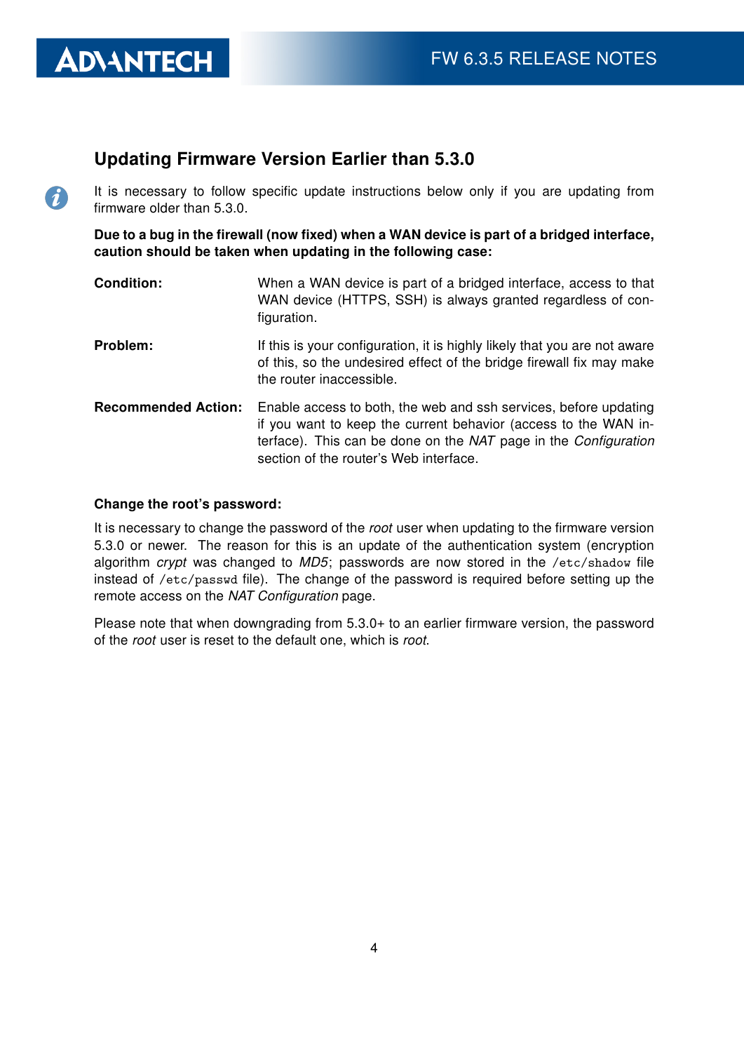#### Updating Firmware Version Earlier than 5.3.0

It is necessary to follow specific update instructions below only if you are updating from firmware older than 5.3.0.

Due to a bug in the firewall (now fixed) when a WAN device is part of a bridged interface, caution should be taken when updating in the following case:

- **Condition:** When a WAN device is part of a bridged interface, access to that WAN device (HTTPS, SSH) is always granted regardless of configuration.
- **Problem:** If this is your configuration, it is highly likely that you are not aware of this, so the undesired effect of the bridge firewall fix may make the router inaccessible.
- Recommended Action: Enable access to both, the web and ssh services, before updating if you want to keep the current behavior (access to the WAN interface). This can be done on the NAT page in the Configuration section of the router's Web interface.

#### Change the root's password:

**ADVANTECH** 

 $\Omega$ 

It is necessary to change the password of the root user when updating to the firmware version 5.3.0 or newer. The reason for this is an update of the authentication system (encryption algorithm crypt was changed to  $MD5$ ; passwords are now stored in the /etc/shadow file instead of /etc/passwd file). The change of the password is required before setting up the remote access on the NAT Configuration page.

Please note that when downgrading from 5.3.0+ to an earlier firmware version, the password of the root user is reset to the default one, which is root.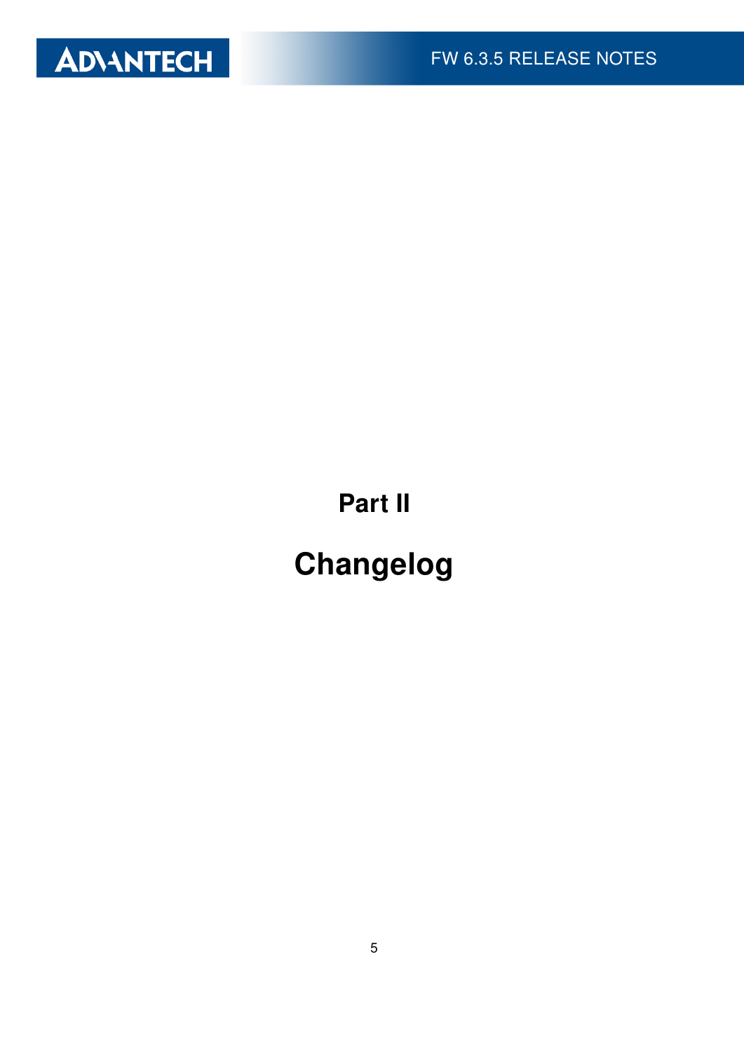

Part II

# Changelog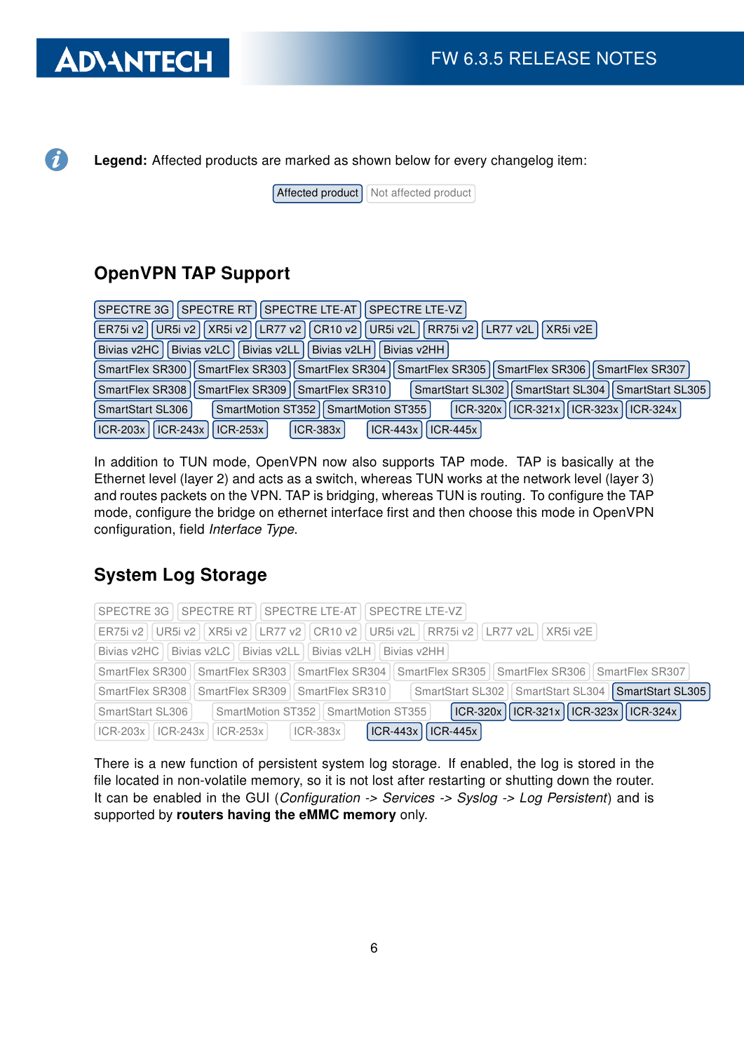### **ADVANTECH**

 $\bullet$ 

Legend: Affected products are marked as shown below for every changelog item:

 $[After the correct]$  Not affected product

### OpenVPN TAP Support

| SPECTRE 3G    SPECTRE RT    SPECTRE LTE-AT    SPECTRE LTE-VZ                                                    |
|-----------------------------------------------------------------------------------------------------------------|
| UR5i v2   XR5i v2   LR77 v2   CR10 v2   UR5i v2L   RR75i v2   LR77 v2L   XR5i v2E  <br>ER75i v2                 |
| Bivias v2LL  Bivias v2LH  Bivias v2HH <br>Bivias v2LC<br>Bivias v2HC                                            |
| SmartFlex SR300   SmartFlex SR303   SmartFlex SR304   SmartFlex SR305   SmartFlex SR306   SmartFlex SR307       |
| SmartFlex SR308   SmartFlex SR309   SmartFlex SR310  <br>SmartStart SL302   SmartStart SL304   SmartStart SL305 |
| ICR-320x    ICR-321x    ICR-323x    ICR-324x  <br>SmartStart SL306<br>SmartMotion ST352   SmartMotion ST355     |
| ICR-203x    ICR-243x    ICR-253x  <br>$ ICR-443x $<br>$ICR-383x$<br>$ICR-445x$                                  |

In addition to TUN mode, OpenVPN now also supports TAP mode. TAP is basically at the Ethernet level (layer 2) and acts as a switch, whereas TUN works at the network level (layer 3) and routes packets on the VPN. TAP is bridging, whereas TUN is routing. To configure the TAP mode, configure the bridge on ethernet interface first and then choose this mode in OpenVPN configuration, field Interface Type.

### System Log Storage

|                         | SPECTRE 3G   SPECTRE RT   SPECTRE LTE-AT   SPECTRE LTE-VZ                                                            |
|-------------------------|----------------------------------------------------------------------------------------------------------------------|
|                         | ER75i v2     UR5i v2     XR5i v2     LR77 v2     CR10 v2     UR5i v2L     RR75i v2     LR77 v2L   XR5i v2E           |
|                         | Bivias v2HC   Bivias v2LC   Bivias v2LL   Bivias v2LH   Bivias v2HH                                                  |
|                         | SmartFlex SR300   SmartFlex SR303   SmartFlex SR304   SmartFlex SR305   SmartFlex SR306   SmartFlex SR307            |
|                         | SmartStart SL302   SmartStart SL304   SmartStart SL305<br>SmartFlex SR308    SmartFlex SR309    SmartFlex SR310      |
| SmartStart SL306        | $\vert$ ICR-320x $\vert$ ICR-321x $\vert$ ICR-323x $\vert$ ICR-324x $\vert$<br>SmartMotion ST352   SmartMotion ST355 |
| $ CR-203x $ $ CR-243x $ | $\vert$ ICR-443x $\vert$ ICR-445x<br>$\vert$ ICR-253x $\vert$<br>$ICR-383x$                                          |

There is a new function of persistent system log storage. If enabled, the log is stored in the file located in non-volatile memory, so it is not lost after restarting or shutting down the router. It can be enabled in the GUI (Configuration -> Services -> Syslog -> Log Persistent) and is supported by routers having the eMMC memory only.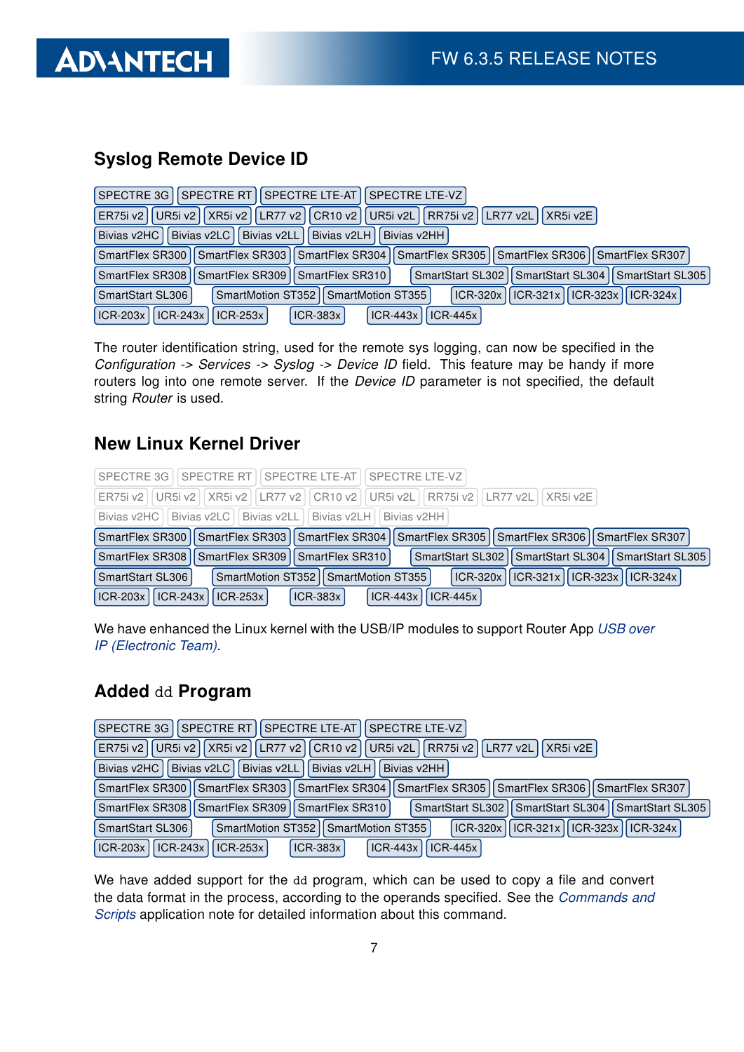

### Syslog Remote Device ID

| SPECTRE 3G   SPECTRE RT   SPECTRE LTE-AT   SPECTRE LTE-VZ                                                        |
|------------------------------------------------------------------------------------------------------------------|
| UR5i v2    XR5i v2    LR77 v2    CR10 v2    UR5i v2L    RR75i v2    LR77 v2L  <br>ER75i v2<br>XR5i v2E           |
| Bivias v2LL   Bivias v2LH<br>Bivias v2HC   Bivias v2LC  <br>Bivias v2HH                                          |
| SmartFlex SR300   SmartFlex SR303   SmartFlex SR304   SmartFlex SR305   SmartFlex SR306   SmartFlex SR307        |
| SmartStart SL302   SmartStart SL304   SmartStart SL305  <br>SmartFlex SR308   SmartFlex SR309   SmartFlex SR310  |
| $ ICR-321x  ICR-323x  ICR-324x $<br><b>ICR-320x</b><br>SmartStart SL306<br>SmartMotion ST352   SmartMotion ST355 |
| $\vert$ ICR-243x $\vert$<br>$ICR-203x$<br>$ ICR-443x $<br>$ICR-445x$<br>$ICR-253x$<br>$ICR-383x$                 |

The router identification string, used for the remote sys logging, can now be specified in the Configuration -> Services -> Syslog -> Device ID field. This feature may be handy if more routers log into one remote server. If the *Device ID* parameter is not specified, the default string Router is used.

#### New Linux Kernel Driver

| SPECTRE 3G I SPECTRE RT I SPECTRE LTE-AT I SPECTRE LTE-VZ                                                                                   |
|---------------------------------------------------------------------------------------------------------------------------------------------|
| ER75i v2   UR5i v2   XR5i v2   LR77 v2   CR10 v2   UR5i v2L   RR75i v2   LR77 v2L   XR5i v2E                                                |
| Bivias v2HC   Bivias v2LC   Bivias v2LL   Bivias v2LH   Bivias v2HH                                                                         |
| SmartFlex SR300   SmartFlex SR303   SmartFlex SR304   SmartFlex SR305   SmartFlex SR306   SmartFlex SR307                                   |
| SmartFlex SR308   SmartFlex SR309   SmartFlex SR310  <br>SmartStart SL302   SmartStart SL304   SmartStart SL305                             |
| $\vert$ ICR-320x $\vert$ ICR-321x $\vert$ ICR-323x $\vert$ ICR-324x $\vert$<br>SmartMotion ST352 II SmartMotion ST355 I<br>SmartStart SL306 |
| $ CR-203x $ $ CR-243x $ $ CR-253x $<br>  ICR-383x  <br>$ ICR-443x $<br>$ICR-445x$                                                           |

We have enhanced the Linux kernel with the USB/IP modules to support Router App [USB over](https://icr.advantech.cz/products/software/user-modules#usb-over-ip-electronic-team) [IP \(Electronic Team\)](https://icr.advantech.cz/products/software/user-modules#usb-over-ip-electronic-team).

#### Added dd Program

| SPECTRE RT  SPECTRE LTE-AT <br><b>SPECTRE LTE-VZ</b><br>SPECTRE 3G                                                   |
|----------------------------------------------------------------------------------------------------------------------|
| UR5i v2   XR5i v2   LR77 v2   CR10 v2  <br>UR5i v2L   RR75i v2   LR77 v2L  <br>ER75i v2<br>II XR5i v2E I             |
| Bivias v2LC<br>  Bivias v2LL    Bivias v2LH  <br>Bivias v2HC<br>Bivias v2HH                                          |
| SmartFlex SR304   SmartFlex SR305   SmartFlex SR306   SmartFlex SR307<br>SmartFlex SR300   SmartFlex SR303           |
| SmartFlex SR308   SmartFlex SR309    <br>SmartStart SL302    SmartStart SL304    SmartStart SL305<br>SmartFlex SR310 |
| $\vert$ ICR-320x   ICR-321x   ICR-323x   ICR-324x  <br>SmartMotion ST352   SmartMotion ST355<br>SmartStart SL306     |
| ICR-203x<br>$ICR-243x$<br>$ICR-383x$<br>ICR-443x   ICR-445x<br>$ICR-253x$                                            |

We have added support for the dd program, which can be used to copy a file and convert the data format in the process, according to the operands specified. See the [Commands and](https://ep.advantech-bb.cz/download/application-notes#commands-and-scripts) [Scripts](https://ep.advantech-bb.cz/download/application-notes#commands-and-scripts) application note for detailed information about this command.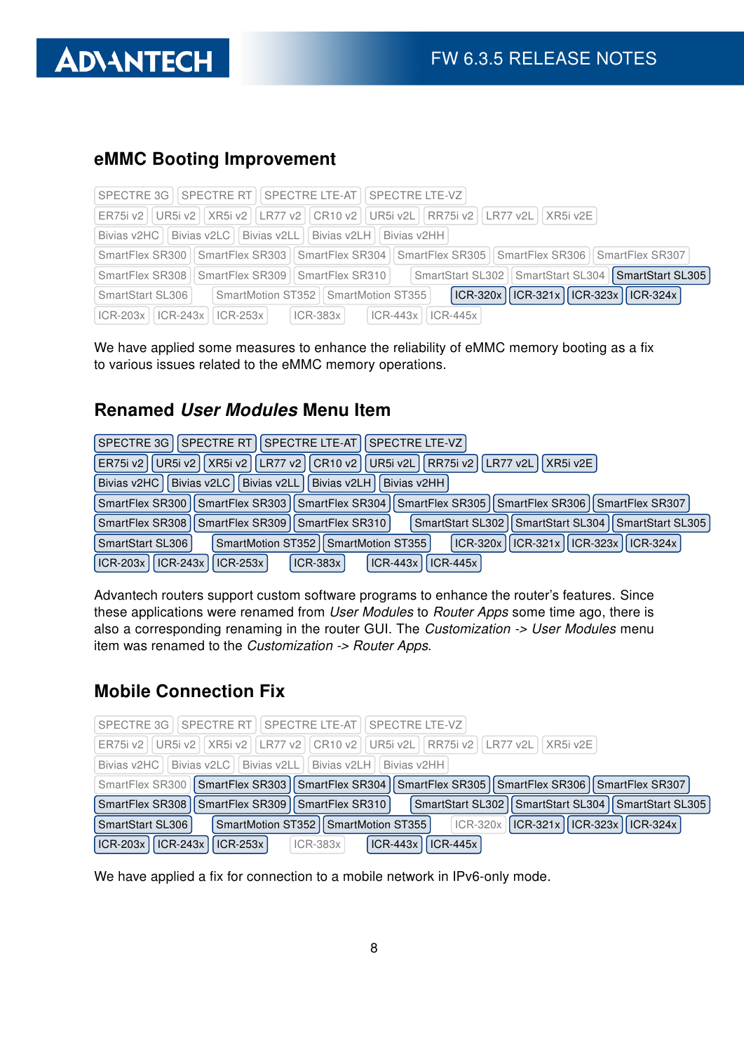

#### eMMC Booting Improvement

|                         | SPECTRE 3G   SPECTRE RT   SPECTRE LTE-AT   SPECTRE LTE-VZ                                                       |
|-------------------------|-----------------------------------------------------------------------------------------------------------------|
|                         | ER75i v2   UR5i v2     XR5i v2     LR77 v2     CR10 v2     UR5i v2L     RR75i v2     LR77 v2L     XR5i v2E      |
|                         | Bivias v2HC   Bivias v2LC   Bivias v2LL   Bivias v2LH   Bivias v2HH                                             |
|                         | SmartFlex SR300   SmartFlex SR303   SmartFlex SR304   SmartFlex SR305   SmartFlex SR306   SmartFlex SR307       |
|                         | SmartStart SL302   SmartStart SL304   SmartStart SL305  <br>SmartFlex SR308   SmartFlex SR309   SmartFlex SR310 |
| SmartStart SL306        | ICR-320x    ICR-321x    ICR-323x    ICR-324x  <br>SmartMotion ST352   SmartMotion ST355                         |
| $ICR-203x$   $ICR-243x$ | $ ICR-253x $<br>$ ICR-383x $<br>ICR-443x   ICR-445x                                                             |

We have applied some measures to enhance the reliability of eMMC memory booting as a fix to various issues related to the eMMC memory operations.

#### Renamed User Modules Menu Item

| SPECTRE 3G   SPECTRE RT   SPECTRE LTE-AT   SPECTRE LTE-VZ                                                          |
|--------------------------------------------------------------------------------------------------------------------|
| UR5i v2    XR5i v2    LR77 v2    CR10 v2    UR5i v2L    RR75i v2    LR77 v2L  <br> XR5i v2E <br>ER75i v2           |
| Bivias v2HC   Bivias v2LC  <br>Bivias v2LL Divias v2LH<br>Bivias v2HH                                              |
| SmartFlex SR300   SmartFlex SR303   SmartFlex SR304   SmartFlex SR305   SmartFlex SR306   SmartFlex SR307          |
| SmartFlex SR308   SmartFlex SR309   SmartFlex SR310  <br>SmartStart SL302   SmartStart SL304   SmartStart SL305    |
| ICR-321x    ICR-323x    ICR-324x  <br>$ ICR-320x  $<br>SmartMotion ST352   SmartMotion ST355  <br>SmartStart SL306 |
| $ CR-203x $ $ CR-243x $ $ CR-253x $<br>$ICR-443x$<br>$ICR-445x$<br>$ICR-383x$                                      |

Advantech routers support custom software programs to enhance the router's features. Since these applications were renamed from User Modules to Router Apps some time ago, there is also a corresponding renaming in the router GUI. The Customization -> User Modules menu item was renamed to the Customization -> Router Apps.

#### Mobile Connection Fix

| SPECTRE 3G I SPECTRE RT I SPECTRE LTE-AT I SPECTRE LTE-VZ                                                                                |
|------------------------------------------------------------------------------------------------------------------------------------------|
| ER75i v2   UR5i v2     XR5i v2     LR77 v2     CR10 v2     UR5i v2L     RR75i v2     LR77 v2L     XR5i v2E                               |
| Bivias v2HC   Bivias v2LC   Bivias v2LL   Bivias v2LH   Bivias v2HH                                                                      |
| SmartFlex SR300   SmartFlex SR303   SmartFlex SR304   SmartFlex SR305   SmartFlex SR306   SmartFlex SR307                                |
| SmartStart SL302   SmartStart SL304   SmartStart SL305  <br>SmartFlex SR308   SmartFlex SR309   SmartFlex SR310                          |
| $\vert$ ICR-320x $\vert$ ICR-321x $\vert$ ICR-323x $\vert$ ICR-324x $\vert$<br>SmartMotion ST352   SmartMotion ST355<br>SmartStart SL306 |
| $\vert$ ICR-203x $\vert$ ICR-243x $\vert$ ICR-253x $\vert$ ICR-383x<br>$\vert$ ICR-443x $\vert$ ICR-445x $\vert$                         |

We have applied a fix for connection to a mobile network in IPv6-only mode.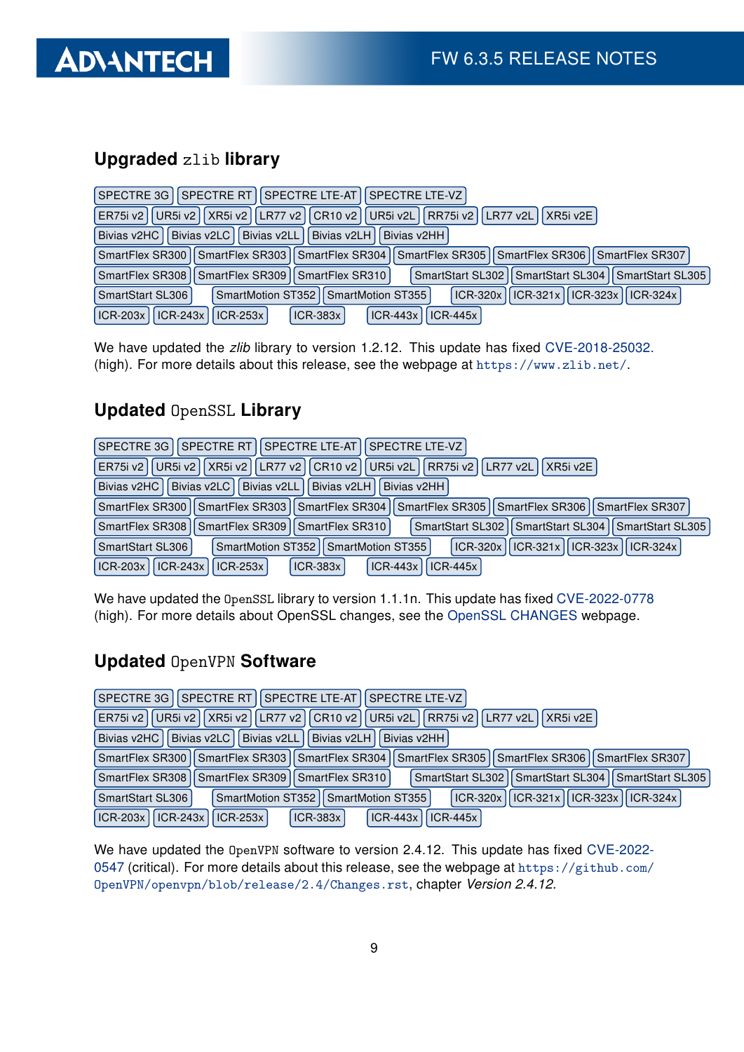

### Upgraded zlib library

| SPECTRE RT   SPECTRE LTE-AT   SPECTRE LTE-VZ  <br>SPECTRE 3G                                                    |
|-----------------------------------------------------------------------------------------------------------------|
| UR5i v2    XR5i v2    LR77 v2    CR10 v2    UR5i v2L    RR75i v2    LR77 v2L<br>XRSi v2E<br>ER75i v2            |
| Bivias v2HC   Bivias v2LC  <br>Bivias v2LL Bivias v2LH<br>Bivias v2HH                                           |
| SmartFlex SR300   SmartFlex SR303   SmartFlex SR304   SmartFlex SR305   SmartFlex SR306   SmartFlex SR307       |
| SmartStart SL302   SmartStart SL304   SmartStart SL305  <br>SmartFlex SR308   SmartFlex SR309   SmartFlex SR310 |
| $ CR-320x  CR-321x  CR-323x  CR-324x $<br>SmartMotion ST352   SmartMotion ST355<br>SmartStart SL306             |
| $ ICR-243x $<br>ICR-203x<br>$ICR-253x$<br>$ICR-445x$<br><b>ICR-383x</b><br>$ICR-443x$                           |

We have updated the zlib library to version 1.2.12. This update has fixed [CVE-2018-25032.](https://nvd.nist.gov/vuln/detail/CVE-2018-25032) (high). For more details about this release, see the webpage at <https://www.zlib.net/>.

### Updated OpenSSL Library

| SPECTRE 3G   SPECTRE RT   SPECTRE LTE-AT   SPECTRE LTE-VZ                                                            |
|----------------------------------------------------------------------------------------------------------------------|
| LR77 v2    CR10 v2    UR5i v2L    RR75i v2    LR77 v2L    XR5i v2E  <br>UR5i v2 I XR5i v2 I<br>ER75i v2              |
| Bivias v2LL Bivias v2LH<br>Bivias v2HC<br>Bivias v2LC<br>Bivias v2HH                                                 |
| SmartFlex SR300    SmartFlex SR303    SmartFlex SR304    SmartFlex SR305    SmartFlex SR306    SmartFlex SR307       |
| SmartFlex SR308   SmartFlex SR309   SmartFlex SR310  <br>II SmartStart SL304 II SmartStart SL305<br>SmartStart SL302 |
| $\vert$ ICR-320x   ICR-321x   ICR-323x   ICR-324x  <br>SmartMotion ST352   SmartMotion ST355  <br>SmartStart SL306   |
| $\vert$ ICR-243x<br>$ICR-203x$<br>$ICR-443x$<br>$ICR-445x$<br>$ ICR-253x $<br>$ICR-383x$                             |

We have updated the OpenSSL library to version 1.1.1n. This update has fixed [CVE-2022-0778](https://nvd.nist.gov/vuln/detail/CVE-2022-0778) (high). For more details about OpenSSL changes, see the [OpenSSL CHANGES](https://www.openssl.org/news/cl111.txt) webpage.

#### Updated OpenVPN Software

| SPECTRE 3G   SPECTRE RT   SPECTRE LTE-AT   SPECTRE LTE-VZ                                                     |
|---------------------------------------------------------------------------------------------------------------|
| UR5i v2   XR5i v2   LR77 v2   CR10 v2  <br>UR5i v2L   RR75i v2   LR77 v2L<br> XR5i v2E <br>ER75i v2           |
| Bivias v2HC   Bivias v2LC   Bivias v2LL  <br>Bivias v2LH<br>Bivias v2HH                                       |
| SmartFlex SR300   SmartFlex SR303   SmartFlex SR304   SmartFlex SR305   SmartFlex SR306   SmartFlex SR307     |
| SmartStart SL302   SmartStart SL304   SmartStart SL305<br>SmartFlex SR308   SmartFlex SR309   SmartFlex SR310 |
| ICR-320x    ICR-321x    ICR-323x    ICR-324x<br>SmartStart SL306<br>SmartMotion ST352   SmartMotion ST355     |
| <b>ICR-203x</b><br>$ ICR-243x $<br>$ ICR-443x  $<br><b>ICR-383x</b><br>$\vert$ ICR-253x $\vert$<br>$ICR-445x$ |

We have updated the OpenVPN software to version 2.4.12. This update has fixed [CVE-2022-](https://nvd.nist.gov/vuln/detail/CVE-2022-0547) [0547](https://nvd.nist.gov/vuln/detail/CVE-2022-0547) (critical). For more details about this release, see the webpage at [https://github.com/](https://github.com/OpenVPN/openvpn/blob/release/2.4/Changes.rst) [OpenVPN/openvpn/blob/release/2.4/Changes.rst](https://github.com/OpenVPN/openvpn/blob/release/2.4/Changes.rst), chapter Version 2.4.12.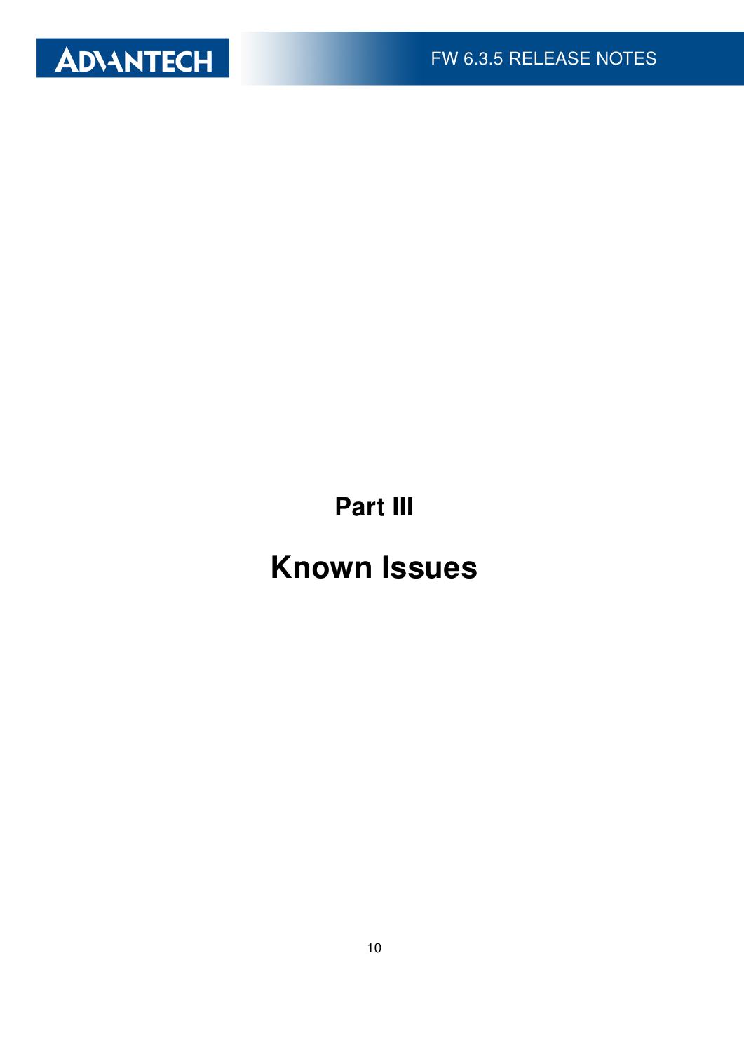

Part III

# Known Issues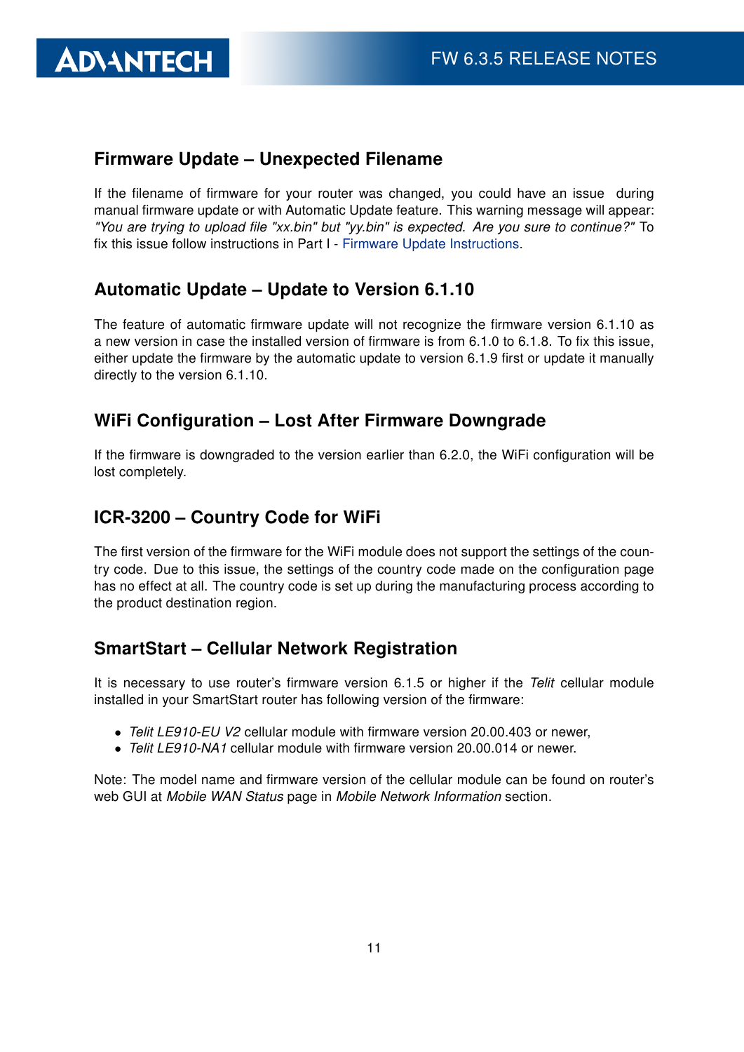#### Firmware Update – Unexpected Filename

If the filename of firmware for your router was changed, you could have an issue during manual firmware update or with Automatic Update feature. This warning message will appear: "You are trying to upload file "xx.bin" but "yy.bin" is expected. Are you sure to continue?" To fix this issue follow instructions in Part I - [Firmware Update Instructions.](#page-2-0)

#### Automatic Update – Update to Version 6.1.10

The feature of automatic firmware update will not recognize the firmware version 6.1.10 as a new version in case the installed version of firmware is from 6.1.0 to 6.1.8. To fix this issue, either update the firmware by the automatic update to version 6.1.9 first or update it manually directly to the version 6.1.10.

#### WiFi Configuration – Lost After Firmware Downgrade

If the firmware is downgraded to the version earlier than 6.2.0, the WiFi configuration will be lost completely.

#### ICR-3200 – Country Code for WiFi

The first version of the firmware for the WiFi module does not support the settings of the country code. Due to this issue, the settings of the country code made on the configuration page has no effect at all. The country code is set up during the manufacturing process according to the product destination region.

#### SmartStart – Cellular Network Registration

It is necessary to use router's firmware version 6.1.5 or higher if the Telit cellular module installed in your SmartStart router has following version of the firmware:

- Telit LE910-EU V2 cellular module with firmware version 20.00.403 or newer,
- Telit LE910-NA1 cellular module with firmware version 20,000,014 or newer.

Note: The model name and firmware version of the cellular module can be found on router's web GUI at Mobile WAN Status page in Mobile Network Information section.